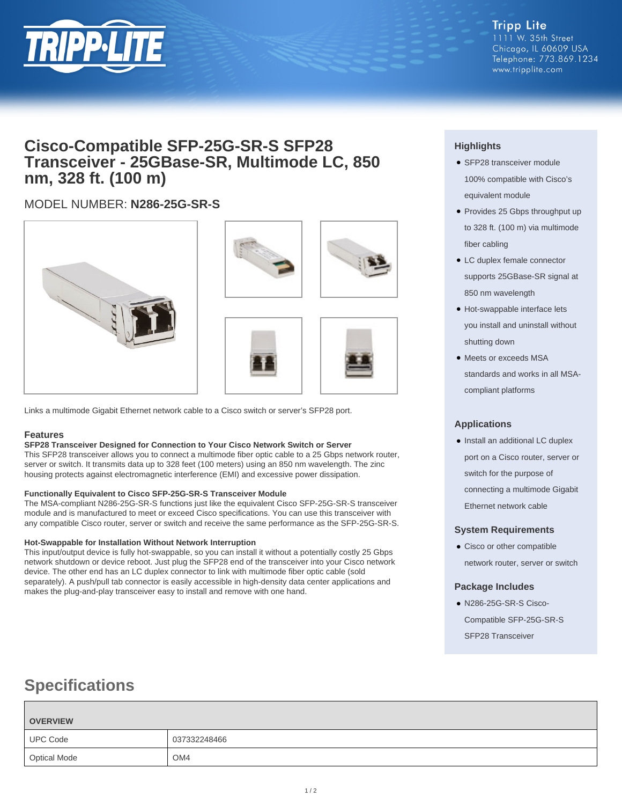

**Tripp Lite** 1111 W. 35th Street Chicago, IL 60609 USA Telephone: 773.869.1234 www.tripplite.com

## **Cisco-Compatible SFP-25G-SR-S SFP28 Transceiver - 25GBase-SR, Multimode LC, 850 nm, 328 ft. (100 m)**

## MODEL NUMBER: **N286-25G-SR-S**



Links a multimode Gigabit Ethernet network cable to a Cisco switch or server's SFP28 port.

## **Features**

#### **SFP28 Transceiver Designed for Connection to Your Cisco Network Switch or Server**

This SFP28 transceiver allows you to connect a multimode fiber optic cable to a 25 Gbps network router, server or switch. It transmits data up to 328 feet (100 meters) using an 850 nm wavelength. The zinc housing protects against electromagnetic interference (EMI) and excessive power dissipation.

## **Functionally Equivalent to Cisco SFP-25G-SR-S Transceiver Module**

The MSA-compliant N286-25G-SR-S functions just like the equivalent Cisco SFP-25G-SR-S transceiver module and is manufactured to meet or exceed Cisco specifications. You can use this transceiver with any compatible Cisco router, server or switch and receive the same performance as the SFP-25G-SR-S.

## **Hot-Swappable for Installation Without Network Interruption**

This input/output device is fully hot-swappable, so you can install it without a potentially costly 25 Gbps network shutdown or device reboot. Just plug the SFP28 end of the transceiver into your Cisco network device. The other end has an LC duplex connector to link with multimode fiber optic cable (sold separately). A push/pull tab connector is easily accessible in high-density data center applications and makes the plug-and-play transceiver easy to install and remove with one hand.

## **Highlights**

- SFP28 transceiver module 100% compatible with Cisco's equivalent module
- Provides 25 Gbps throughput up to 328 ft. (100 m) via multimode fiber cabling
- LC duplex female connector supports 25GBase-SR signal at 850 nm wavelength
- Hot-swappable interface lets you install and uninstall without shutting down
- Meets or exceeds MSA standards and works in all MSAcompliant platforms

## **Applications**

• Install an additional LC duplex port on a Cisco router, server or switch for the purpose of connecting a multimode Gigabit Ethernet network cable

## **System Requirements**

● Cisco or other compatible network router, server or switch

## **Package Includes**

● N286-25G-SR-S Cisco-Compatible SFP-25G-SR-S SFP28 Transceiver

# **Specifications**

| <b>OVERVIEW</b> |                 |
|-----------------|-----------------|
| <b>UPC Code</b> | 037332248466    |
| Optical Mode    | OM <sub>4</sub> |